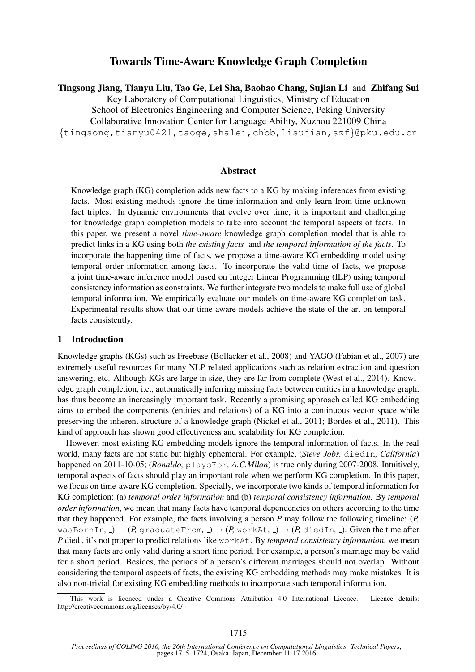# Towards Time-Aware Knowledge Graph Completion

Tingsong Jiang, Tianyu Liu, Tao Ge, Lei Sha, Baobao Chang, Sujian Li and Zhifang Sui

Key Laboratory of Computational Linguistics, Ministry of Education

School of Electronics Engineering and Computer Science, Peking University

Collaborative Innovation Center for Language Ability, Xuzhou 221009 China

{tingsong,tianyu0421,taoge,shalei,chbb,lisujian,szf}@pku.edu.cn

#### Abstract

Knowledge graph (KG) completion adds new facts to a KG by making inferences from existing facts. Most existing methods ignore the time information and only learn from time-unknown fact triples. In dynamic environments that evolve over time, it is important and challenging for knowledge graph completion models to take into account the temporal aspects of facts. In this paper, we present a novel *time-aware* knowledge graph completion model that is able to predict links in a KG using both *the existing facts* and *the temporal information of the facts*. To incorporate the happening time of facts, we propose a time-aware KG embedding model using temporal order information among facts. To incorporate the valid time of facts, we propose a joint time-aware inference model based on Integer Linear Programming (ILP) using temporal consistency information as constraints. We further integrate two models to make full use of global temporal information. We empirically evaluate our models on time-aware KG completion task. Experimental results show that our time-aware models achieve the state-of-the-art on temporal facts consistently.

## 1 Introduction

Knowledge graphs (KGs) such as Freebase (Bollacker et al., 2008) and YAGO (Fabian et al., 2007) are extremely useful resources for many NLP related applications such as relation extraction and question answering, etc. Although KGs are large in size, they are far from complete (West et al., 2014). Knowledge graph completion, i.e., automatically inferring missing facts between entities in a knowledge graph, has thus become an increasingly important task. Recently a promising approach called KG embedding aims to embed the components (entities and relations) of a KG into a continuous vector space while preserving the inherent structure of a knowledge graph (Nickel et al., 2011; Bordes et al., 2011). This kind of approach has shown good effectiveness and scalability for KG completion.

However, most existing KG embedding models ignore the temporal information of facts. In the real world, many facts are not static but highly ephemeral. For example, (*Steve Jobs,* diedIn*, California*) happened on 2011-10-05; (*Ronaldo,* playsFor*, A.C.Milan*) is true only during 2007-2008. Intuitively, temporal aspects of facts should play an important role when we perform KG completion. In this paper, we focus on time-aware KG completion. Specially, we incorporate two kinds of temporal information for KG completion: (a) *temporal order information* and (b) *temporal consistency information*. By *temporal order information*, we mean that many facts have temporal dependencies on others according to the time that they happened. For example, the facts involving a person *P* may follow the following timeline: (*P,* wasBornIn,  $\rightarrow$   $(P, \text{graduateFrom}, \rightarrow)$   $\rightarrow$   $(P, \text{workAt}, \rightarrow)$   $\rightarrow$   $(P, \text{diedIn}, \rightarrow)$ . Given the time after *P* died , it's not proper to predict relations like workAt. By *temporal consistency information*, we mean that many facts are only valid during a short time period. For example, a person's marriage may be valid for a short period. Besides, the periods of a person's different marriages should not overlap. Without considering the temporal aspects of facts, the existing KG embedding methods may make mistakes. It is also non-trivial for existing KG embedding methods to incorporate such temporal information.

This work is licenced under a Creative Commons Attribution 4.0 International Licence. Licence details: http://creativecommons.org/licenses/by/4.0/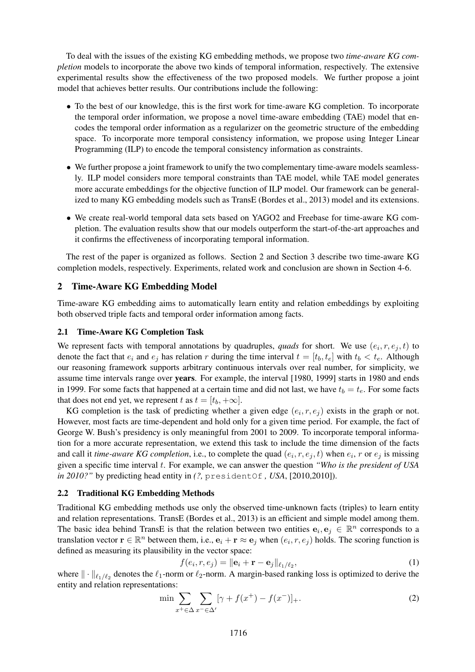To deal with the issues of the existing KG embedding methods, we propose two *time-aware KG completion* models to incorporate the above two kinds of temporal information, respectively. The extensive experimental results show the effectiveness of the two proposed models. We further propose a joint model that achieves better results. Our contributions include the following:

- To the best of our knowledge, this is the first work for time-aware KG completion. To incorporate the temporal order information, we propose a novel time-aware embedding (TAE) model that encodes the temporal order information as a regularizer on the geometric structure of the embedding space. To incorporate more temporal consistency information, we propose using Integer Linear Programming (ILP) to encode the temporal consistency information as constraints.
- We further propose a joint framework to unify the two complementary time-aware models seamlessly. ILP model considers more temporal constraints than TAE model, while TAE model generates more accurate embeddings for the objective function of ILP model. Our framework can be generalized to many KG embedding models such as TransE (Bordes et al., 2013) model and its extensions.
- We create real-world temporal data sets based on YAGO2 and Freebase for time-aware KG completion. The evaluation results show that our models outperform the start-of-the-art approaches and it confirms the effectiveness of incorporating temporal information.

The rest of the paper is organized as follows. Section 2 and Section 3 describe two time-aware KG completion models, respectively. Experiments, related work and conclusion are shown in Section 4-6.

#### 2 Time-Aware KG Embedding Model

Time-aware KG embedding aims to automatically learn entity and relation embeddings by exploiting both observed triple facts and temporal order information among facts.

#### 2.1 Time-Aware KG Completion Task

We represent facts with temporal annotations by quadruples, *quads* for short. We use  $(e_i, r, e_j, t)$  to denote the fact that  $e_i$  and  $e_j$  has relation r during the time interval  $t = [t_b, t_e]$  with  $t_b < t_e$ . Although our reasoning framework supports arbitrary continuous intervals over real number, for simplicity, we assume time intervals range over years. For example, the interval [1980, 1999] starts in 1980 and ends in 1999. For some facts that happened at a certain time and did not last, we have  $t_b = t_e$ . For some facts that does not end yet, we represent t as  $t = [t_b, +\infty]$ .

KG completion is the task of predicting whether a given edge  $(e_i, r, e_j)$  exists in the graph or not. However, most facts are time-dependent and hold only for a given time period. For example, the fact of George W. Bush's presidency is only meaningful from 2001 to 2009. To incorporate temporal information for a more accurate representation, we extend this task to include the time dimension of the facts and call it *time-aware KG completion*, i.e., to complete the quad  $(e_i, r, e_j, t)$  when  $e_i$ , r or  $e_j$  is missing given a specific time interval t. For example, we can answer the question *"Who is the president of USA in 2010?"* by predicting head entity in *(?,* presidentOf *, USA*, [2010,2010]).

## 2.2 Traditional KG Embedding Methods

Traditional KG embedding methods use only the observed time-unknown facts (triples) to learn entity and relation representations. TransE (Bordes et al., 2013) is an efficient and simple model among them. The basic idea behind TransE is that the relation between two entities  $e_i, e_j \in \mathbb{R}^n$  corresponds to a translation vector  $\mathbf{r} \in \mathbb{R}^n$  between them, i.e.,  $\mathbf{e}_i + \mathbf{r} \approx \mathbf{e}_j$  when  $(e_i, r, e_j)$  holds. The scoring function is defined as measuring its plausibility in the vector space:

$$
f(e_i, r, e_j) = ||\mathbf{e}_i + \mathbf{r} - \mathbf{e}_j||_{\ell_1/\ell_2},
$$
\n(1)

where  $\|\cdot\|_{\ell_1/\ell_2}$  denotes the  $\ell_1$ -norm or  $\ell_2$ -norm. A margin-based ranking loss is optimized to derive the entity and relation representations:

$$
\min \sum_{x^+ \in \Delta} \sum_{x^- \in \Delta'} [\gamma + f(x^+) - f(x^-)]_+.
$$
 (2)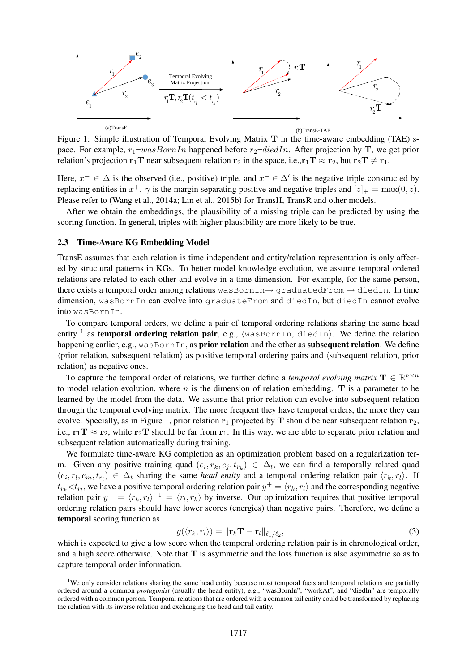

Figure 1: Simple illustration of Temporal Evolving Matrix T in the time-aware embedding (TAE) space. For example,  $r_1=wasBornIn$  happened before  $r_2=diedIn$ . After projection by T, we get prior relation's projection  $\mathbf{r}_1 \mathbf{T}$  near subsequent relation  $\mathbf{r}_2$  in the space, i.e., $\mathbf{r}_1 \mathbf{T} \approx \mathbf{r}_2$ , but  $\mathbf{r}_2 \mathbf{T} \neq \mathbf{r}_1$ .

Here,  $x^+ \in \Delta$  is the observed (i.e., positive) triple, and  $x^- \in \Delta'$  is the negative triple constructed by replacing entities in  $x^+$ .  $\gamma$  is the margin separating positive and negative triples and  $[z]_+ = \max(0, z)$ . Please refer to (Wang et al., 2014a; Lin et al., 2015b) for TransH, TransR and other models.

After we obtain the embeddings, the plausibility of a missing triple can be predicted by using the scoring function. In general, triples with higher plausibility are more likely to be true.

## 2.3 Time-Aware KG Embedding Model

TransE assumes that each relation is time independent and entity/relation representation is only affected by structural patterns in KGs. To better model knowledge evolution, we assume temporal ordered relations are related to each other and evolve in a time dimension. For example, for the same person, there exists a temporal order among relations wasBornIn $\rightarrow$  graduatedFrom  $\rightarrow$  diedIn. In time dimension, wasBornIn can evolve into graduateFrom and diedIn, but diedIn cannot evolve into wasBornIn.

To compare temporal orders, we define a pair of temporal ordering relations sharing the same head entity <sup>1</sup> as temporal ordering relation pair, e.g.,  $\langle$ wasBornIn, diedIn $\rangle$ . We define the relation happening earlier, e.g., wasBornIn, as **prior relation** and the other as **subsequent relation**. We define  $\langle$ prior relation, subsequent relation $\rangle$  as positive temporal ordering pairs and  $\langle$ subsequent relation, prior  $relation$  as negative ones.

To capture the temporal order of relations, we further define a *temporal evolving matrix*  $\mathbf{T} \in \mathbb{R}^{n \times n}$ to model relation evolution, where  $n$  is the dimension of relation embedding. T is a parameter to be learned by the model from the data. We assume that prior relation can evolve into subsequent relation through the temporal evolving matrix. The more frequent they have temporal orders, the more they can evolve. Specially, as in Figure 1, prior relation  $r_1$  projected by T should be near subsequent relation  $r_2$ , i.e.,  $r_1T \approx r_2$ , while  $r_2T$  should be far from  $r_1$ . In this way, we are able to separate prior relation and subsequent relation automatically during training.

We formulate time-aware KG completion as an optimization problem based on a regularization term. Given any positive training quad  $(e_i, r_k, e_j, t_{r_k}) \in \Delta_t$ , we can find a temporally related quad  $(e_i, r_l, e_m, t_{r_l}) \in \Delta_t$  sharing the same *head entity* and a temporal ordering relation pair  $\langle r_k, r_l \rangle$ . If  $t_{r_k} < t_{r_l}$ , we have a positive temporal ordering relation pair  $y^+ = \langle r_k, r_l \rangle$  and the corresponding negative relation pair  $y^- = \langle r_k, r_l \rangle^{-1} = \langle r_l, r_k \rangle$  by inverse. Our optimization requires that positive temporal ordering relation pairs should have lower scores (energies) than negative pairs. Therefore, we define a temporal scoring function as

$$
g(\langle r_k, r_l \rangle) = \|\mathbf{r}_k \mathbf{T} - \mathbf{r}_l\|_{\ell_1/\ell_2},\tag{3}
$$

which is expected to give a low score when the temporal ordering relation pair is in chronological order, and a high score otherwise. Note that  $T$  is asymmetric and the loss function is also asymmetric so as to capture temporal order information.

 $1$ We only consider relations sharing the same head entity because most temporal facts and temporal relations are partially ordered around a common *protagonist* (usually the head entity), e.g., "wasBornIn", "workAt", and "diedIn" are temporally ordered with a common person. Temporal relations that are ordered with a common tail entity could be transformed by replacing the relation with its inverse relation and exchanging the head and tail entity.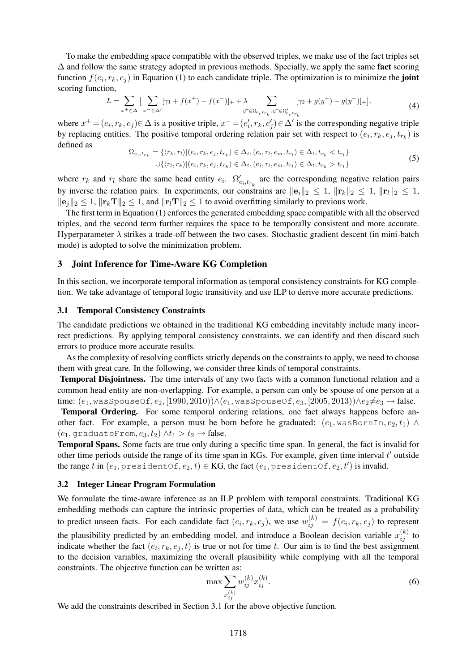To make the embedding space compatible with the observed triples, we make use of the fact triples set  $\Delta$  and follow the same strategy adopted in previous methods. Specially, we apply the same **fact** scoring function  $f(e_i, r_k, e_j)$  in Equation (1) to each candidate triple. The optimization is to minimize the **joint** scoring function,

$$
L = \sum_{x^+ \in \Delta} \left[ \sum_{x^- \in \Delta'} [\gamma_1 + f(x^+) - f(x^-)]_+ + \lambda \sum_{y^+ \in \Omega_{\epsilon_i, t_{r_k}}, y^- \in \Omega'_{\epsilon_i, t_{r_k}}} [\gamma_2 + g(y^+) - g(y^-)]_+ \right],\tag{4}
$$

where  $x^+ = (e_i, r_k, e_j) \in \Delta$  is a positive triple,  $x^- = (e'_i, r_k, e'_j) \in \Delta'$  is the corresponding negative triple by replacing entities. The positive temporal ordering relation pair set with respect to  $(e_i, r_k, e_j, t_{r_k})$  is defined as

$$
\Omega_{e_i, t_{r_k}} = \{ \langle r_k, r_l \rangle | (e_i, r_k, e_j, t_{r_k}) \in \Delta_t, (e_i, r_l, e_m, t_{r_l}) \in \Delta_t, t_{r_k} < t_{r_l} \} \cup \{ \langle r_l, r_k \rangle | (e_i, r_k, e_j, t_{r_k}) \in \Delta_t, (e_i, r_l, e_m, t_{r_l}) \in \Delta_t, t_{r_k} > t_{r_l} \}
$$
\n
$$
\tag{5}
$$

where  $r_k$  and  $r_l$  share the same head entity  $e_i$ .  $\Omega'_{e_i,t_{r_k}}$  are the corresponding negative relation pairs by inverse the relation pairs. In experiments, our constrains are  $||e_i||_2 \leq 1$ ,  $||r_k||_2 \leq 1$ ,  $||r_l||_2 \leq 1$ ,  $\|\mathbf{e}_i\|_2 \leq 1$ ,  $\|\mathbf{r}_k\mathbf{T}\|_2 \leq 1$ , and  $\|\mathbf{r}_l\mathbf{T}\|_2 \leq 1$  to avoid overfitting similarly to previous work.

The first term in Equation (1) enforces the generated embedding space compatible with all the observed triples, and the second term further requires the space to be temporally consistent and more accurate. Hyperparameter  $\lambda$  strikes a trade-off between the two cases. Stochastic gradient descent (in mini-batch mode) is adopted to solve the minimization problem.

#### 3 Joint Inference for Time-Aware KG Completion

In this section, we incorporate temporal information as temporal consistency constraints for KG completion. We take advantage of temporal logic transitivity and use ILP to derive more accurate predictions.

#### 3.1 Temporal Consistency Constraints

The candidate predictions we obtained in the traditional KG embedding inevitably include many incorrect predictions. By applying temporal consistency constraints, we can identify and then discard such errors to produce more accurate results.

As the complexity of resolving conflicts strictly depends on the constraints to apply, we need to choose them with great care. In the following, we consider three kinds of temporal constraints.

Temporal Disjointness. The time intervals of any two facts with a common functional relation and a common head entity are non-overlapping. For example, a person can only be spouse of one person at a time:  $(e_1$ , wasSpouseOf,  $e_2$ , [1990, 2010)) $\wedge$ ( $e_1$ , wasSpouseOf,  $e_3$ , [2005, 2013)) $\wedge e_2 \neq e_3 \rightarrow$  false.

Temporal Ordering. For some temporal ordering relations, one fact always happens before another fact. For example, a person must be born before he graduated:  $(e_1, \text{wasBornIn}, e_2, t_1) \wedge$  $(e_1, \text{graduateFrom}, e_3, t_2) \wedge t_1 > t_2 \rightarrow \text{false}.$ 

Temporal Spans. Some facts are true only during a specific time span. In general, the fact is invalid for other time periods outside the range of its time span in KGs. For example, given time interval  $t'$  outside the range  $t$  in  $(e_1, \text{presidentOf}, e_2, t) \in \text{KG},$  the fact  $(e_1, \text{presidentOf}, e_2, t')$  is invalid.

### 3.2 Integer Linear Program Formulation

We formulate the time-aware inference as an ILP problem with temporal constraints. Traditional KG embedding methods can capture the intrinsic properties of data, which can be treated as a probability to predict unseen facts. For each candidate fact  $(e_i, r_k, e_j)$ , we use  $w_{ij}^{(k)} = f(e_i, r_k, e_j)$  to represent the plausibility predicted by an embedding model, and introduce a Boolean decision variable  $x_{ij}^{(k)}$  to indicate whether the fact  $(e_i, r_k, e_j, t)$  is true or not for time t. Our aim is to find the best assignment to the decision variables, maximizing the overall plausibility while complying with all the temporal constraints. The objective function can be written as:

$$
\max \sum_{x_{ij}^{(k)}} w_{ij}^{(k)} x_{ij}^{(k)}.
$$
\n(6)

We add the constraints described in Section 3.1 for the above objective function.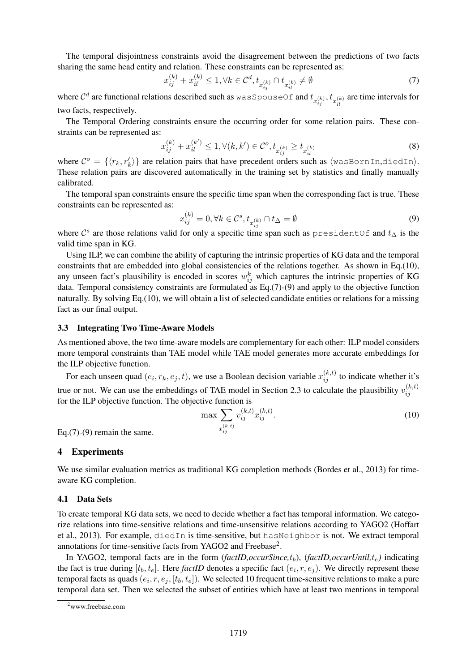The temporal disjointness constraints avoid the disagreement between the predictions of two facts sharing the same head entity and relation. These constraints can be represented as:

$$
x_{ij}^{(k)} + x_{il}^{(k)} \le 1, \forall k \in \mathcal{C}^d, t_{x_{ij}^{(k)}} \cap t_{x_{il}^{(k)}} \ne \emptyset
$$
\n<sup>(7)</sup>

where  $C^d$  are functional relations described such as  $\forall x \in S$  pouseOf and  $t_{x_{ij}^{(k)}}, t_{x_{il}^{(k)}}$  are time intervals for two facts, respectively.

The Temporal Ordering constraints ensure the occurring order for some relation pairs. These constraints can be represented as:

$$
x_{ij}^{(k)} + x_{il}^{(k')} \le 1, \forall (k, k') \in \mathcal{C}^o, t_{x_{ij}^{(k)}} \ge t_{x_{il}^{(k)}} \tag{8}
$$

where  $\mathcal{C}^o = \{ \langle r_k, r'_k \rangle \}$  are relation pairs that have precedent orders such as  $\langle$ wasBornIn,diedIn $\rangle$ . These relation pairs are discovered automatically in the training set by statistics and finally manually calibrated.

The temporal span constraints ensure the specific time span when the corresponding fact is true. These constraints can be represented as:

$$
x_{ij}^{(k)} = 0, \forall k \in \mathcal{C}^s, t_{x_{ij}^{(k)}} \cap t_{\Delta} = \emptyset
$$
\n
$$
(9)
$$

where  $\mathcal{C}^s$  are those relations valid for only a specific time span such as presidentOf and  $t_{\Delta}$  is the valid time span in KG.

Using ILP, we can combine the ability of capturing the intrinsic properties of KG data and the temporal constraints that are embedded into global consistencies of the relations together. As shown in Eq.(10), any unseen fact's plausibility is encoded in scores  $w_{ij}^k$  which captures the intrinsic properties of KG data. Temporal consistency constraints are formulated as Eq.(7)-(9) and apply to the objective function naturally. By solving Eq.(10), we will obtain a list of selected candidate entities or relations for a missing fact as our final output.

#### 3.3 Integrating Two Time-Aware Models

As mentioned above, the two time-aware models are complementary for each other: ILP model considers more temporal constraints than TAE model while TAE model generates more accurate embeddings for the ILP objective function.

For each unseen quad  $(e_i, r_k, e_j, t)$ , we use a Boolean decision variable  $x_{ij}^{(k,t)}$  to indicate whether it's true or not. We can use the embeddings of TAE model in Section 2.3 to calculate the plausibility  $v_{ii}^{(k,t)}$ ij for the ILP objective function. The objective function is

$$
\max \sum_{x_{ij}^{(k,t)}} v_{ij}^{(k,t)} x_{ij}^{(k,t)}.
$$
\n(10)

Eq. $(7)-(9)$  remain the same.

#### 4 Experiments

We use similar evaluation metrics as traditional KG completion methods (Bordes et al., 2013) for timeaware KG completion.

#### 4.1 Data Sets

To create temporal KG data sets, we need to decide whether a fact has temporal information. We categorize relations into time-sensitive relations and time-unsensitive relations according to YAGO2 (Hoffart et al., 2013). For example, diedIn is time-sensitive, but hasNeighbor is not. We extract temporal annotations for time-sensitive facts from YAGO2 and Freebase<sup>2</sup>.

In YAGO2, temporal facts are in the form  $(factID, occursline, t_b)$ ,  $(factID, occurUntil, t_e)$  indicating the fact is true during  $[t_b, t_e]$ . Here *factID* denotes a specific fact  $(e_i, r, e_j)$ . We directly represent these temporal facts as quads  $(e_i, r, e_j, [t_b, t_e])$ . We selected 10 frequent time-sensitive relations to make a pure temporal data set. Then we selected the subset of entities which have at least two mentions in temporal

<sup>2</sup>www.freebase.com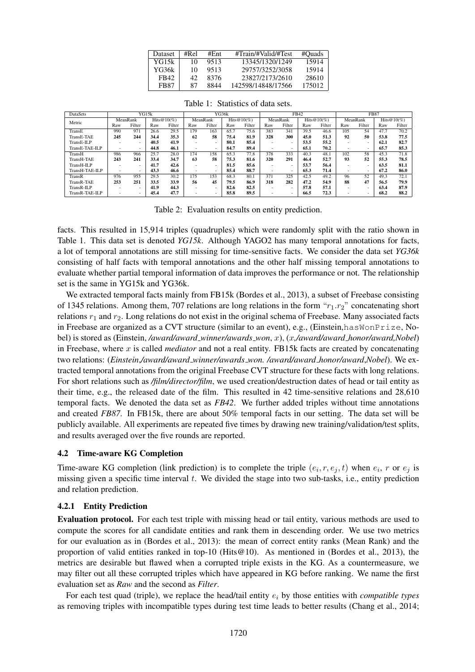| Dataset     | #Rel | #Ent | #Train/#Valid/#Test | #Ouads |
|-------------|------|------|---------------------|--------|
| YG15k       | 10   | 9513 | 13345/1320/1249     | 15914  |
| YG36k       | 10   | 9513 | 29757/3252/3058     | 15914  |
| FB42        | 42   | 8376 | 23827/2173/2610     | 28610  |
| <b>FB87</b> | 87   | 8844 | 142598/14848/17566  | 175012 |

| DataSets       |          | YG15k                    |                |        | YG36k                    |                          |                | FB42   |                          |        |                | <b>FB87</b> |          |                          |              |        |
|----------------|----------|--------------------------|----------------|--------|--------------------------|--------------------------|----------------|--------|--------------------------|--------|----------------|-------------|----------|--------------------------|--------------|--------|
| Metric         | MeanRank |                          | Hits@ $10(\%)$ |        | MeanRank                 |                          | Hits $@10(\%)$ |        | MeanRank                 |        | Hits@ $10\%$ ) |             | MeanRank |                          | Hits@10 $(%$ |        |
|                | Raw      | Filter                   | Raw            | Filter | Raw                      | Filter                   | Raw            | Filter | Raw                      | Filter | Raw            | Filter      | Raw      | Filter                   | Raw          | Filter |
| TransE         | 990      | 971                      | 26.6           | 29.5   | 179                      | 163                      | 65.7           | 75.6   | 383                      | 341    | 39.5           | 46.6        | 105      | 54                       | 47.7         | 70.2   |
| TransE-TAE     | 245      | 244                      | 34.4           | 35.3   | 62                       | 58                       | 75.4           | 81.9   | 328                      | 300    | 45.0           | 51.3        | 92       | 50                       | 53.8         | 77.5   |
| TransE-ILP     |          | $\overline{\phantom{a}}$ | 40.5           | 41.9   | $\overline{\phantom{a}}$ | $\overline{\phantom{a}}$ | 80.1           | 85.4   | $\overline{\phantom{a}}$ |        | 53.5           | 55.2        |          |                          | 62.1         | 82.7   |
| TransE-TAE-ILP |          | $\overline{\phantom{a}}$ | 44.8           | 46.1   | ۰                        | $\overline{\phantom{a}}$ | 84.7           | 89.4   | $\overline{\phantom{a}}$ | ۰      | 65.1           | 70.2        | ۰        | $\sim$                   | 65.7         | 85.3   |
| TransH         | 986      | 966                      | 25.7           | 28.0   | 174                      | 158                      | 65.3           | 77.8   | 378                      | 333    | 40.3           | 48.1        | 102      | 58                       | 45.3         | 71.8   |
| TransH-TAE     | 243      | 241                      | 33.4           | 34.7   | 63                       | 58                       | 75.3           | 81.6   | 320                      | 291    | 46.4           | 52.7        | 93       | 52                       | 55.3         | 78.5   |
| TransH-ILP     |          | $\overline{\phantom{a}}$ | 41.7           | 42.6   | $\overline{\phantom{a}}$ | $\overline{\phantom{a}}$ | 81.5           | 85.6   | $\overline{\phantom{a}}$ | ۰      | 53.7           | 56.4        |          | $\overline{\phantom{a}}$ | 63.5         | 81.1   |
| TransH-TAE-ILP |          | $\overline{\phantom{a}}$ | 43.3           | 46.6   | $\overline{\phantom{a}}$ | $\overline{\phantom{a}}$ | 85.4           | 88.7   | $\overline{\phantom{a}}$ | ۰      | 65.3           | 71.4        | ۰        | $\sim$                   | 67.2         | 86.0   |
| TransR         | 976      | 955                      | 29.5           | 30.2   | 175                      | 153                      | 68.3           | 80.1   | 371                      | 325    | 42.5           | 49.2        | 96       | 52                       | 49.3         | 72.1   |
| TransR-TAE     | 253      | 251                      | 33.5           | 33.9   | 56                       | 45                       | 79.5           | 86.9   | 318                      | 282    | 47.2           | 54.9        | 88       | 47                       | 56.5         | 79.9   |
| TransR-ILP     |          | $\overline{\phantom{a}}$ | 41.9           | 44.3   | ۰                        | $\overline{\phantom{a}}$ | 82.6           | 82.5   | $\overline{\phantom{a}}$ | ۰      | 57.8           | 57.1        |          | $\overline{\phantom{a}}$ | 63.4         | 87.9   |
| TransR-TAE-ILP |          | ۰                        | 45.4           | 47.7   |                          | $\overline{\phantom{a}}$ | 85.8           | 89.5   |                          | ۰      | 66.5           | 72.3        |          |                          | 68.2         | 88.2   |

Table 1: Statistics of data sets.

Table 2: Evaluation results on entity prediction.

facts. This resulted in 15,914 triples (quadruples) which were randomly split with the ratio shown in Table 1. This data set is denoted *YG15k*. Although YAGO2 has many temporal annotations for facts, a lot of temporal annotations are still missing for time-sensitive facts. We consider the data set *YG36k* consisting of half facts with temporal annotations and the other half missing temporal annotations to evaluate whether partial temporal information of data improves the performance or not. The relationship set is the same in YG15k and YG36k.

We extracted temporal facts mainly from FB15k (Bordes et al., 2013), a subset of Freebase consisting of 1345 relations. Among them, 707 relations are long relations in the form " $r_1.r_2$ " concatenating short relations  $r_1$  and  $r_2$ . Long relations do not exist in the original schema of Freebase. Many associated facts in Freebase are organized as a CVT structure (similar to an event), e.g., (Einstein,hasWonPrize, Nobel) is stored as (Einstein, */award/award winner/awards won*, x), (x*,/award/award honor/award,Nobel*) in Freebase, where x is called *mediator* and not a real entity. FB15k facts are created by concatenating two relations: (*Einstein*,*/award/award winner/awards won. /award/award honor/award*,*Nobel*). We extracted temporal annotations from the original Freebase CVT structure for these facts with long relations. For short relations such as */film/director/film*, we used creation/destruction dates of head or tail entity as their time, e.g., the released date of the film. This resulted in 42 time-sensitive relations and 28,610 temporal facts. We denoted the data set as *FB42*. We further added triples without time annotations and created *FB87*. In FB15k, there are about 50% temporal facts in our setting. The data set will be publicly available. All experiments are repeated five times by drawing new training/validation/test splits, and results averaged over the five rounds are reported.

## 4.2 Time-aware KG Completion

Time-aware KG completion (link prediction) is to complete the triple  $(e_i, r, e_j, t)$  when  $e_i$ , r or  $e_j$  is missing given a specific time interval  $t$ . We divided the stage into two sub-tasks, i.e., entity prediction and relation prediction.

## 4.2.1 Entity Prediction

Evaluation protocol. For each test triple with missing head or tail entity, various methods are used to compute the scores for all candidate entities and rank them in descending order. We use two metrics for our evaluation as in (Bordes et al., 2013): the mean of correct entity ranks (Mean Rank) and the proportion of valid entities ranked in top-10 (Hits@10). As mentioned in (Bordes et al., 2013), the metrics are desirable but flawed when a corrupted triple exists in the KG. As a countermeasure, we may filter out all these corrupted triples which have appeared in KG before ranking. We name the first evaluation set as *Raw* and the second as *Filter*.

For each test quad (triple), we replace the head/tail entity e<sup>i</sup> by those entities with *compatible types* as removing triples with incompatible types during test time leads to better results (Chang et al., 2014;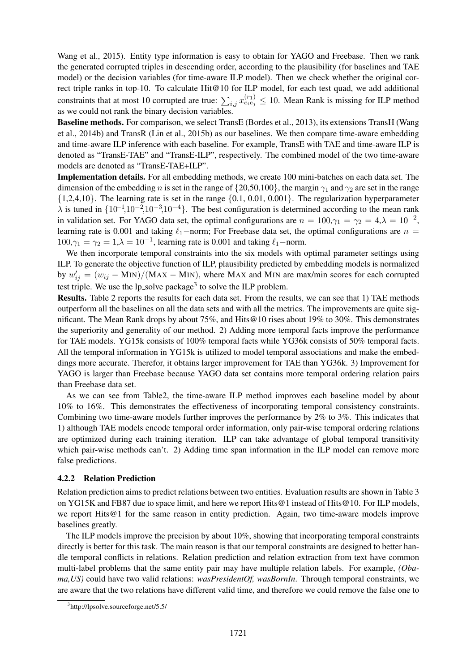Wang et al., 2015). Entity type information is easy to obtain for YAGO and Freebase. Then we rank the generated corrupted triples in descending order, according to the plausibility (for baselines and TAE model) or the decision variables (for time-aware ILP model). Then we check whether the original correct triple ranks in top-10. To calculate Hit@10 for ILP model, for each test quad, we add additional constraints that at most 10 corrupted are true:  $\sum_{i,j} x_{e_i e_j}^{(r_1)} \leq 10$ . Mean Rank is missing for ILP method as we could not rank the binary decision variables.

Baseline methods. For comparison, we select TransE (Bordes et al., 2013), its extensions TransH (Wang et al., 2014b) and TransR (Lin et al., 2015b) as our baselines. We then compare time-aware embedding and time-aware ILP inference with each baseline. For example, TransE with TAE and time-aware ILP is denoted as "TransE-TAE" and "TransE-ILP", respectively. The combined model of the two time-aware models are denoted as "TransE-TAE+ILP".

Implementation details. For all embedding methods, we create 100 mini-batches on each data set. The dimension of the embedding n is set in the range of  $\{20,50,100\}$ , the margin  $\gamma_1$  and  $\gamma_2$  are set in the range  $\{1,2,4,10\}$ . The learning rate is set in the range  $\{0.1, 0.01, 0.001\}$ . The regularization hyperparameter  $\lambda$  is tuned in  $\{10^{-1}, 10^{-2}, 10^{-3}, 10^{-4}\}$ . The best configuration is determined according to the mean rank in validation set. For YAGO data set, the optimal configurations are  $n = 100, \gamma_1 = \gamma_2 = 4, \lambda = 10^{-2}$ , learning rate is 0.001 and taking  $\ell_1$ −norm; For Freebase data set, the optimal configurations are  $n =$  $100,\gamma_1 = \gamma_2 = 1, \lambda = 10^{-1}$ , learning rate is 0.001 and taking  $\ell_1$ -norm.

We then incorporate temporal constraints into the six models with optimal parameter settings using ILP. To generate the objective function of ILP, plausibility predicted by embedding models is normalized by  $w'_{ij} = (w_{ij} - \text{MIN})/(\text{MAX} - \text{MIN})$ , where MAX and MIN are max/min scores for each corrupted test triple. We use the  $lp\_solve$  package<sup>3</sup> to solve the ILP problem.

Results. Table 2 reports the results for each data set. From the results, we can see that 1) TAE methods outperform all the baselines on all the data sets and with all the metrics. The improvements are quite significant. The Mean Rank drops by about 75%, and Hits@10 rises about 19% to 30%. This demonstrates the superiority and generality of our method. 2) Adding more temporal facts improve the performance for TAE models. YG15k consists of 100% temporal facts while YG36k consists of 50% temporal facts. All the temporal information in YG15k is utilized to model temporal associations and make the embeddings more accurate. Therefor, it obtains larger improvement for TAE than YG36k. 3) Improvement for YAGO is larger than Freebase because YAGO data set contains more temporal ordering relation pairs than Freebase data set.

As we can see from Table2, the time-aware ILP method improves each baseline model by about 10% to 16%. This demonstrates the effectiveness of incorporating temporal consistency constraints. Combining two time-aware models further improves the performance by 2% to 3%. This indicates that 1) although TAE models encode temporal order information, only pair-wise temporal ordering relations are optimized during each training iteration. ILP can take advantage of global temporal transitivity which pair-wise methods can't. 2) Adding time span information in the ILP model can remove more false predictions.

## 4.2.2 Relation Prediction

Relation prediction aims to predict relations between two entities. Evaluation results are shown in Table 3 on YG15K and FB87 due to space limit, and here we report Hits@1 instead of Hits@10. For ILP models, we report Hits@1 for the same reason in entity prediction. Again, two time-aware models improve baselines greatly.

The ILP models improve the precision by about 10%, showing that incorporating temporal constraints directly is better for this task. The main reason is that our temporal constraints are designed to better handle temporal conflicts in relations. Relation prediction and relation extraction from text have common multi-label problems that the same entity pair may have multiple relation labels. For example, *(Obama,US)* could have two valid relations: *wasPresidentOf, wasBornIn*. Through temporal constraints, we are aware that the two relations have different valid time, and therefore we could remove the false one to

<sup>3</sup> http://lpsolve.sourceforge.net/5.5/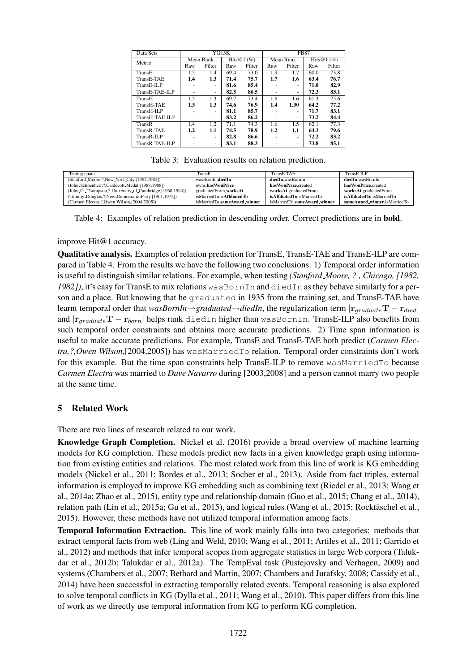| Mean Rank<br>Mean Rank<br>Hits@1 $(\%)$<br>Hits $@1(%$<br>Metric<br>Filter<br>Filter<br>Filter<br>Filter<br>Raw<br>Raw<br>Raw<br>Raw<br>73.0<br>73.8<br>69.4<br>1.9<br>1.7<br>60.0<br>TransE<br>1.5<br>1.4<br>75.7<br>1.3<br>71.4<br>1.7<br>63.4<br>76.7<br>TransE-TAE<br>1.6<br>1.4<br>85.4<br>82.9<br>81.6<br>71.0<br>TransE-ILP<br>۰<br>۰<br>TransE-TAE-ILP<br>82.5<br>86.5<br>72.3<br>83.1<br>۰<br>۰<br>۰<br>۰ | <b>FB87</b> |  |  |  |  |  |
|--------------------------------------------------------------------------------------------------------------------------------------------------------------------------------------------------------------------------------------------------------------------------------------------------------------------------------------------------------------------------------------------------------------------|-------------|--|--|--|--|--|
|                                                                                                                                                                                                                                                                                                                                                                                                                    |             |  |  |  |  |  |
|                                                                                                                                                                                                                                                                                                                                                                                                                    |             |  |  |  |  |  |
|                                                                                                                                                                                                                                                                                                                                                                                                                    |             |  |  |  |  |  |
|                                                                                                                                                                                                                                                                                                                                                                                                                    |             |  |  |  |  |  |
|                                                                                                                                                                                                                                                                                                                                                                                                                    |             |  |  |  |  |  |
|                                                                                                                                                                                                                                                                                                                                                                                                                    |             |  |  |  |  |  |
| 1.5<br>69.7<br>73.4<br>1.8<br>75.6<br>1.3<br>1.6<br>61.3<br>TransH                                                                                                                                                                                                                                                                                                                                                 |             |  |  |  |  |  |
| 76.9<br>77.2<br>1.3<br>1.30<br>64.2<br>TransH-TAE<br>1.3<br>74.6<br>1.4                                                                                                                                                                                                                                                                                                                                            |             |  |  |  |  |  |
| 83.1<br>81.1<br>85.7<br>71.7<br>TransH-ILP<br>۰<br>۰                                                                                                                                                                                                                                                                                                                                                               |             |  |  |  |  |  |
| TransH-TAE-ILP<br>83.2<br>86.2<br>73.2<br>84.4<br>٠<br>۰<br>۰                                                                                                                                                                                                                                                                                                                                                      |             |  |  |  |  |  |
| 77.3<br>74.3<br>1.5<br>62.1<br>1.2<br>71.1<br>1.4<br>1.6<br>TransR                                                                                                                                                                                                                                                                                                                                                 |             |  |  |  |  |  |
| 74.5<br>78.9<br>79.6<br>1.2<br>1.1<br>1.2<br>1.1<br>64.3<br>TransR-TAE                                                                                                                                                                                                                                                                                                                                             |             |  |  |  |  |  |
| 83.2<br>82.8<br>86.6<br>72.2<br>TransR-ILP<br>۰<br>۰                                                                                                                                                                                                                                                                                                                                                               |             |  |  |  |  |  |
| 73.8<br>85.1<br>TransR-TAE-ILP<br>83.1<br>88.3<br>۰<br>۰                                                                                                                                                                                                                                                                                                                                                           |             |  |  |  |  |  |

Table 3: Evaluation results on relation prediction.

| Testing quads                                            | TransE                       | TransE-TAE                   | TransE-ILP                   |
|----------------------------------------------------------|------------------------------|------------------------------|------------------------------|
| (Stanford_Moore,?,New_York_City,[1982,1982])             | wasBornIn.diedIn             | diedIn.wasBornIn             | diedIn.wasBornIn             |
| (John_Schoenherr,?,Caldecott_Medal,[1988,1988])          | owns.hasWonPrize             | has Won Prize, created       | has WonPrize.created         |
| (John_G._Thompson,?,University_of_Cambridge,[1968,1994]) | graduatedFrom.worksAt        | worksAt,graduatedFrom        | worksAt.graduatedFrom        |
| (Tommy_Douglas,?,New_Democratic_Party,[1961,1972])       | isMarriedTo.isAffiliatedTo   | isAffiliatedTo.isMarriedTo   | isAffiliatedTo.isMarriedTo   |
| (Carmen Electra,?,Owen Wilson,[2004,2005])               | isMarriedTo.sameAward_winner | isMarriedTo.sameAward_winner | sameAward_winner.isMarriedTo |

Table 4: Examples of relation prediction in descending order. Correct predictions are in bold.

## improve Hit@1 accuracy.

Qualitative analysis. Examples of relation prediction for TransE, TransE-TAE and TransE-ILP are compared in Table 4. From the results we have the following two conclusions. 1) Temporal order information is useful to distinguish similar relations. For example, when testing *(Stanford Moore, ? , Chicago, [1982, 1982])*, it's easy for TransE to mix relations wasBornIn and diedIn as they behave similarly for a person and a place. But knowing that he graduated in 1935 from the training set, and TransE-TAE have learnt temporal order that *wasBornIn*→*graduated*→*diedIn*, the regularization term  $|r_{graduate}T - r_{died}|$ and  $|\mathbf{r}_{gradient}\mathbf{T} - \mathbf{r}_{born}|$  helps rank diedIn higher than wasBornIn. TransE-ILP also benefits from such temporal order constraints and obtains more accurate predictions. 2) Time span information is useful to make accurate predictions. For example, TransE and TransE-TAE both predict (*Carmen Electra,?,Owen Wilson*,[2004,2005]) has wasMarriedTo relation. Temporal order constraints don't work for this example. But the time span constraints help TransE-ILP to remove wasMarriedTo because *Carmen Electra* was married to *Dave Navarro* during [2003,2008] and a person cannot marry two people at the same time.

# 5 Related Work

There are two lines of research related to our work.

Knowledge Graph Completion. Nickel et al. (2016) provide a broad overview of machine learning models for KG completion. These models predict new facts in a given knowledge graph using information from existing entities and relations. The most related work from this line of work is KG embedding models (Nickel et al., 2011; Bordes et al., 2013; Socher et al., 2013). Aside from fact triples, external information is employed to improve KG embedding such as combining text (Riedel et al., 2013; Wang et al., 2014a; Zhao et al., 2015), entity type and relationship domain (Guo et al., 2015; Chang et al., 2014), relation path (Lin et al., 2015a; Gu et al., 2015), and logical rules (Wang et al., 2015; Rocktäschel et al., 2015). However, these methods have not utilized temporal information among facts.

Temporal Information Extraction. This line of work mainly falls into two categories: methods that extract temporal facts from web (Ling and Weld, 2010; Wang et al., 2011; Artiles et al., 2011; Garrido et al., 2012) and methods that infer temporal scopes from aggregate statistics in large Web corpora (Talukdar et al., 2012b; Talukdar et al., 2012a). The TempEval task (Pustejovsky and Verhagen, 2009) and systems (Chambers et al., 2007; Bethard and Martin, 2007; Chambers and Jurafsky, 2008; Cassidy et al., 2014) have been successful in extracting temporally related events. Temporal reasoning is also explored to solve temporal conflicts in KG (Dylla et al., 2011; Wang et al., 2010). This paper differs from this line of work as we directly use temporal information from KG to perform KG completion.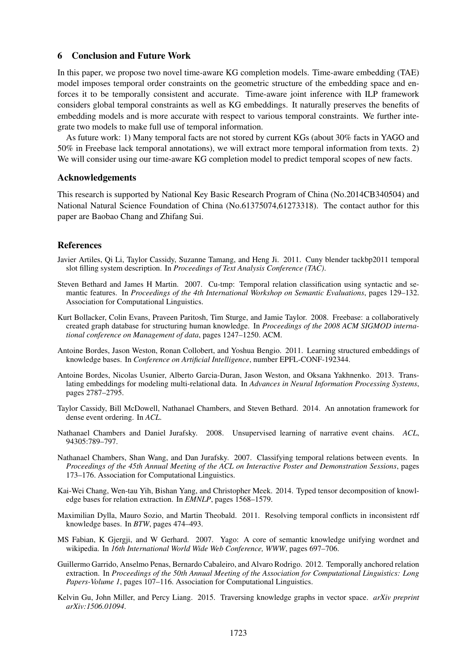#### 6 Conclusion and Future Work

In this paper, we propose two novel time-aware KG completion models. Time-aware embedding (TAE) model imposes temporal order constraints on the geometric structure of the embedding space and enforces it to be temporally consistent and accurate. Time-aware joint inference with ILP framework considers global temporal constraints as well as KG embeddings. It naturally preserves the benefits of embedding models and is more accurate with respect to various temporal constraints. We further integrate two models to make full use of temporal information.

As future work: 1) Many temporal facts are not stored by current KGs (about 30% facts in YAGO and 50% in Freebase lack temporal annotations), we will extract more temporal information from texts. 2) We will consider using our time-aware KG completion model to predict temporal scopes of new facts.

#### Acknowledgements

This research is supported by National Key Basic Research Program of China (No.2014CB340504) and National Natural Science Foundation of China (No.61375074,61273318). The contact author for this paper are Baobao Chang and Zhifang Sui.

## References

- Javier Artiles, Qi Li, Taylor Cassidy, Suzanne Tamang, and Heng Ji. 2011. Cuny blender tackbp2011 temporal slot filling system description. In *Proceedings of Text Analysis Conference (TAC)*.
- Steven Bethard and James H Martin. 2007. Cu-tmp: Temporal relation classification using syntactic and semantic features. In *Proceedings of the 4th International Workshop on Semantic Evaluations*, pages 129–132. Association for Computational Linguistics.
- Kurt Bollacker, Colin Evans, Praveen Paritosh, Tim Sturge, and Jamie Taylor. 2008. Freebase: a collaboratively created graph database for structuring human knowledge. In *Proceedings of the 2008 ACM SIGMOD international conference on Management of data*, pages 1247–1250. ACM.
- Antoine Bordes, Jason Weston, Ronan Collobert, and Yoshua Bengio. 2011. Learning structured embeddings of knowledge bases. In *Conference on Artificial Intelligence*, number EPFL-CONF-192344.
- Antoine Bordes, Nicolas Usunier, Alberto Garcia-Duran, Jason Weston, and Oksana Yakhnenko. 2013. Translating embeddings for modeling multi-relational data. In *Advances in Neural Information Processing Systems*, pages 2787–2795.
- Taylor Cassidy, Bill McDowell, Nathanael Chambers, and Steven Bethard. 2014. An annotation framework for dense event ordering. In *ACL*.
- Nathanael Chambers and Daniel Jurafsky. 2008. Unsupervised learning of narrative event chains. *ACL*, 94305:789–797.
- Nathanael Chambers, Shan Wang, and Dan Jurafsky. 2007. Classifying temporal relations between events. In *Proceedings of the 45th Annual Meeting of the ACL on Interactive Poster and Demonstration Sessions*, pages 173–176. Association for Computational Linguistics.
- Kai-Wei Chang, Wen-tau Yih, Bishan Yang, and Christopher Meek. 2014. Typed tensor decomposition of knowledge bases for relation extraction. In *EMNLP*, pages 1568–1579.
- Maximilian Dylla, Mauro Sozio, and Martin Theobald. 2011. Resolving temporal conflicts in inconsistent rdf knowledge bases. In *BTW*, pages 474–493.
- MS Fabian, K Gjergji, and W Gerhard. 2007. Yago: A core of semantic knowledge unifying wordnet and wikipedia. In *16th International World Wide Web Conference, WWW*, pages 697–706.
- Guillermo Garrido, Anselmo Penas, Bernardo Cabaleiro, and Alvaro Rodrigo. 2012. Temporally anchored relation extraction. In *Proceedings of the 50th Annual Meeting of the Association for Computational Linguistics: Long Papers-Volume 1*, pages 107–116. Association for Computational Linguistics.
- Kelvin Gu, John Miller, and Percy Liang. 2015. Traversing knowledge graphs in vector space. *arXiv preprint arXiv:1506.01094*.